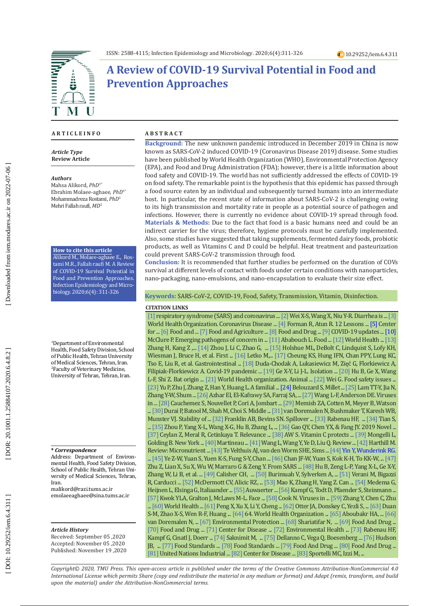

# **A Review of COVID-19 Survival Potential in Food and Prevention Approaches**

#### **A R T I C L E I N F O**

*Article Type* **Review Article**

#### *Authors*

Mahsa Alikord, *PhD*1\* Ebrahim Molaee-aghaee, *PhD*1\* Mohammadreza Rostami, *PhD* 1 Mehri Fallah raufi, *MD* 2

#### **How to cite this article**

Alikord M., Molaee-aghaee E., Ros tami M.R., Fallah raufi M. A Review of COVID-19 Survival Potential in Food and Prevention Approaches. Infection Epidemiology and Micro biology. 2020;6(4): 311-326

1 Department of Environmental Health, Food Safety Division, School of Public Health, Tehran University of Medical Sciences, Tehran, Iran. 2 Faculty of Veterinary Medicine, University of Tehran, Tehran, Iran.

#### **\*** *Correspondence*

Address: Department of Environ mental Health, Food Safety Division, School of Public Health, Tehran Uni versity of Medical Sciences, Tehran, Iran.

malikord@razi.tums.ac.ir emolaeeaghaee@sina.tums.ac.ir

#### *Article History*

Received: September 05 ,2020 Accepted: November 05 ,2020 Published: November 19 ,2020

#### **A B S T R A C T**

**Background:** The new unknown pandemic introduced in December 2019 in China is now known as SARS-CoV-2 induced COVID-19 (Coronavirus Disease 2019) disease. Some studies have been published by World Health Organization (WHO), Environmental Protection Agency (EPA), and Food and Drug Administration (FDA); however, there is a little information about food safety and COVID-19. The world has not sufficiently addressed the effects of COVID-19 on food safety. The remarkable point is the hypothesis that this epidemic has passed through a food source eaten by an individual and subsequently turned humans into an intermediate host. In particular, the recent state of information about SARS-CoV-2 is challenging owing to its high transmission and mortality rate in people as a potential source of pathogen and infections. However, there is currently no evidence about COVID-19 spread through food. **Materials & Methods:** Due to the fact that food is a basic humans need and could be an indirect carrier for the virus; therefore, hygiene protocols must be carefully implemented . Also, some studies have suggested that taking supplements, fermented dairy foods, probiotic products, as well as Vitamins C and D could be helpful. Heat treatment and pasteurization could prevent SARS-CoV-2 transmission through food.

**Conclusion:** It is recommended that further studies be performed on the duration of COVs survival at different levels of contact with foods under certain conditions with nanoparticles, nano-packaging, nano-emulsions, and nano-encapsulation to evaluate their size effect.

**Keywords:** SARS-CoV-2, COVID-19, Food, Safety, Transmission, Vitamin, Disinfection.

#### **CITATION LINKS**

**CITATION LINKS** Wiesman J, Bruce H, et al. First ... [\[16\]](https://www.nature.com/articles/s41564-020-0688-y?report=reader) Letko M,... [\[17\]](https://www.sciencedirect.com/science/article/pii/S0016508520304480) Cheung KS, Hung IFN, Chan PPY, Lung KC, [\[1\]](https://www.sciencedirect.com/science/article/pii/S1201971220301922) respiratory syndrome (SARS) and coronavirus ... [\[2\]](https://www.sciencedirect.com/science/article/pii/S1542356520305267) Wei X-S, Wang X, Niu Y-R. Diarrhea is ... [\[3\]](https://covid19.who.int/) World Health Organization. Coronavirus Disease ... [\[4\]](https://www.sciencedirect.com/science/article/pii/S016885102030107X) Forman R, Atun R. 12 Lessons ... [\[5\] C](https://www.fema.gov/news-release/20200726/declaracion-de-emergencia-covid-19)enter for ... [\[6\]](http://www.fao.org/2019-ncov/q-and-a/impact-on-food-and-agriculture/en/) Food and ... [\[7\]](http://www.fao.org/policy-support/tools-and-publications/resources-details/en/c/1271298/) Food and Agriculture ... [\[8\]](https://www.fda.gov/media/139299/download) Food and Drug ... [\[9\]](https://www.mpi.govt.nz/import/food/fresh-fruit-vegetables/) COVID-19 updates ... [\[10\]](https://www.sciencedirect.com/science/article/pii/B9781845692469500130) McClure P. Emerging pathogens of concern in ... [\[11\]](https://www.sciencedirect.com/referencework/9780123786135/encyclopedia-of-food-safety) Ababouch L. Food ... [\[12\]](https://www.who.int/foodsafety/publications/viruses-food/en/) World Health ... [\[13\]](https://www.biorxiv.org/content/10.1101/2020.01.30.927806v1.abstract) Zhang H, Kang Z ,... [\[14\]](https://advances.sciencemag.org/content/3/11/eaao4966.short) Zhou J, Li C, Zhao G, ... [\[15\]](https://www.nejm.org/doi/full/10.1056/NEJMoa2001191) Holshue ML, DeBolt C, Lindquist S, Lofy KH, Tso E, Liu R, et al. Gastrointestinal ... [\[18\]](https://www.sciencedirect.com/science/article/pii/S0924224420305847) Duda-Chodak A, Lukasiewicz M, Zięć G, Florkiewicz A, Filipiak-Florkiewicz A. Covid-19 pandemic ... [\[19\]](https://www.nature.com/articles/nature12711?fbclid=IwAR1oxB4btiYVmSzncbfTPLtCEORxqfdJygsxayF7cklj3my1pUF1vC-PUnU) Ge X-Y, Li J-L. Isolation ... [\[20\]](https://virologyj.biomedcentral.com/articles/10.1186/s12985-015-0422-1?fbclid=IwAR0GIiKzV9Led-fTrlXiIqIxI4CwW_0mGo-GgCXeq2JOpJ-yIW2VuDdqjzM) Hu B, Ge X, Wang L-F, Shi Z. Bat origin ... [\[21\]](https://www.cabdirect.org/cabdirect/abstract/20083157103) World Health organization. Animal ... [\[22\]](https://www.sciencedirect.com/science/article/pii/S0013935120304989) Wei G. Food safety issues ... [\[23\]](https://academic.oup.com/jid/article-abstract/221/11/1757/5739751)Yu P, Zhu J, Zhang Z, Han Y, Huang L. A familial ... [\[24\] B](https://www.mdpi.com/1999-4915/4/6/1011/htm)elouzard S, Millet ... [\[25\]](https://www.nature.com/articles/s41586-020-2169-0?fbclid=IwAR0KkUm2aENvBIO7V-pRF93Rta9_-hmCti1yMQEcfJCM0HdHiInRH70RA2g) Lam TT-Y, Jia N, Zhang Y-W, Shum ...[\[26\]](https://www.nejm.org/doi/full/10.1056/NEJMoa1401505) Azhar EI, El-Kafrawy SA, Farraj SA, ... [\[27\]](https://www.sciencedirect.com/science/article/pii/S187962571830107X)Wang L-F, Anderson DE. Viruses in ...[\[28\]](https://pubmed.ncbi.nlm.nih.gov/27457935/) Cauchemez S, Nouvellet P, Cori A, Jombart ... [\[29\]](https://www.ncbi.nlm.nih.gov/pmc/articles/pmc4036761/) Memish ZA, Cotten M, Meyer B, Watson ... [\[30\]](https://www.nature.com/articles/emm201576)Durai P, Batool M, Shah M, Choi S. Middle ... [\[31\]](https://www.ncbi.nlm.nih.gov/pmc/articles/PMC4073862/) van Doremalen N, Bushmaker T, Karesh WB, Munster VJ. Stability of ...[\[32\]](https://www.sciencedirect.com/science/article/pii/S0048969720328758) Franklin AB, Bevins SN. Spillover ... [\[33\]](https://link.springer.com/content/pdf/10.1007/s00430-004-0219-0.pdf) Rabenau HF, ... [\[34\]](https://www.sciencedirect.com/science/article/pii/S0163445320301018) Tian S, ... [\[35\]](https://pubmed.ncbi.nlm.nih.gov/32015507/) Zhou P, Yang X-L, Wang X-G, Hu B, Zhang L, ... [\[36\]](https://onlinelibrary.wiley.com/doi/abs/10.1111/1751-2980.12851) Gao QY, Chen YX, & Fang JY. 2019 Novel ... [\[37\]](https://link.springer.com/article/10.1007/s13337-020-00611-0) Ceylan Z, Meral R, Cetinkaya T. Relevance ... [\[38\]](https://drlauda.at/images/pdf/omns/Vitamin_C_Protects_Against_Coronavirus.pdf) AW S. Vitamin C protects ... [\[39\]](https://www.forward.com.au/coronavirus/New%20York%20hospitals%20treating%20coronavirus%20patients%20with%20vitamin%20C.pdf) Mongelli L, Golding B. New York ... [\[40\]](https://pdfs.semanticscholar.org/32fd/85c142c03c24aeee1e83a7808e11edb65d4a.pdf) Martineau ...[\[41\]](https://www.sciencedirect.com/science/article/pii/S0924857920300984) Wang L, Wang Y, Ye D, Liu Q. Review ... [\[42\]](https://link.springer.com/article/10.1007/s12011-011-8977-1) Harthill M. Review: Micronutrient ... [\[43\]](https://pubmed.ncbi.nlm.nih.gov/21079686/) Te Velthuis AJ, van den Worm SHE, Sims ... [\[44\]](https://onlinelibrary.wiley.com/doi/abs/10.1111/resp.13196)Yin Y, Wunderink RG. ... [\[45\]](https://www.ncbi.nlm.nih.gov/pmc/articles/PMC7098031/) Ye Z-W, Yuan S, Yuen K-S, Fung S-Y, Chan ... [\[46\]](https://www.sciencedirect.com/science/article/pii/S0140673620301549) Chan JF-W, Yuan S, Kok K-H, To KK-W, ... [\[47\]](https://link.springer.com/article/10.1186/s12931-020-01479-w) Zhu Z, Lian X, Su X, Wu W, Marraro G & Zeng Y. From SARS ... [\[48\]](https://pubmed.ncbi.nlm.nih.gov/29190287/) Hu B, Zeng L-P, Yang X-L, Ge X-Y, Zhang W, Li B, et al. ... [\[49\]](https://cmr.asm.org/content/19/3/531.short) Calisher CH, ... [\[50\]](https://www.sciencedirect.com/science/article/pii/S0378113519311502) Burimuah V, Sylverken A, ... [\[51\]](https://www.sciencedirect.com/science/article/pii/S0196655314002491) Verani M, Bigazzi R, Carducci ... [\[52\]](https://www.ncbi.nlm.nih.gov/pmc/articles/PMC7166010/) McDermott CV, Alicic RZ, ... [\[53\]](https://pubs.acs.org/doi/full/10.1021/acs.est.0c01174) Mao K, Zhang H, Yang Z. Can ... [\[54\]](https://pubs.acs.org/doi/abs/10.1021/acs.estlett.0c00357) Medema G, Heijnen L, Elsinga G, Italiaander ... [\[55\]](http://ww.nemst.cz/document/news/coronavirus.pdf) Auwaerter ... [\[56\]](https://www.sciencedirect.com/science/article/pii/S0195670120300463) Kampf G, Todt D, Pfaender S, Steinmann ... [\[57\]](https://www.sciencedirect.com/science/article/pii/S0196655314012814) Kwok YLA, Gralton J, McLaws M-L. Face ... [\[58\]](https://www.elsevier.com/books/viruses-in-food-and-water/cook/978-0-85709-430-8) Cook N. Viruses in ... [\[59\]](https://www.researchgate.net/publication/342046643_Isolation_of_2019-nCoV_from_a_Stool_Specimen_of_a_Laboratory-Confirmed_Case_of_the_Coronavirus_Disease_2019_COVID-19) Zhang Y, Chen C, Zhu ... [\[60\]](https://www.who.int/publications-detail-redirect/covid-19-and-food-safety-guidance-for-food-businesses) World Health ... [\[61\]](https://www.nature.com/articles/s41368-020-0075-9?fbclid=IwAR2Qbw5mq7lWgS5CnTmL9a0vbk-VXBDplS7RopTYJL6XRqcUt4l0TtiY0PY) Peng X, Xu X, Li Y, Cheng ... [\[62\]](https://www.sciencedirect.com/science/article/pii/S0195670115003679) Otter JA, Donskey C, Yezli S, ... [\[63\]](https://pubmed.ncbi.nlm.nih.gov/14631830/) Duan S-M, Zhao X-S, Wen R-F, Huang ... [\[64\]](https://www.who.int/health-topics/severe-acute-respiratory-syndrome/technical-guidance/laboratory/first-data-on-stability-and-resistance-of-sars-coronavirus-compiled-by-members-of-who-laboratory-network) 64. World Health Organization ... [\[65\]](https://onlinelibrary.wiley.com/doi/abs/10.1111/tbed.13707) Aboubakr HA, ... [\[66\]](https://www.nejm.org/doi/full/10.1056/nejmc2004973) van Doremalen N, ... [\[67\]](https://www.epa.gov/pesticide-registration/list-n-disinfectants-coronavirus-covid-19) Environmental Protection ... [\[68\]](http://jfsh.tums.ac.ir/index.php/jfsh/article/view/237) Shariatifar N, ... [\[69\]](https://www.fda.gov/emergency-preparedness-and-response/coronavirus-disease-2019-covid-19/covid-19-frequently-asked-questions) Food And Drug ... [\[70\]](https://www.fda.gov/food/food-safety-during-emergencies/food-safety-and-coronavirus-disease-2019-covid-19) Food and Drug ... [\[71\]](https://www.cdc.gov/coronavirus/2019-ncov/community/reopen-guidance.html) Center for Disease ... [\[72\]](https://www.ehs.washington.edu/system/files/resources/cleaning-disinfection-protocols-covid-19.pdf) Environmental Health ... [\[73\]](https://www.sciencedirect.com/science/article/pii/S0195670105000447) Rabenau HF, Kampf G, Cinatl J, Doerr ... [\[74\]](https://www.jstage.jst.go.jp/article/expanim1978/37/3/37_3_341/_article/-char/ja/) Saknimit M, ... [\[75\]](https://www.sciencedirect.com/science/article/pii/S019665530900594X) Dellanno C, Vega Q, Boesenberg ... [\[76\]](https://www.tandfonline.com/doi/abs/10.1080/01919510902747969) Hudson JB, ... [\[77\]](https://mfds.go.kr/eng/brd/m_60/view.do?seq=74753&srchFr=&srchTo=&srchWord=&srchTp=&itm_seq_1=0&itm_seq_2=0&multi_itm_seq=0&company_cd=&company_nm=&page=16) Food Standards ... [\[78\]](https://www.food.gov.uk/business-guidance/reopening-and-adapting-your-food-business-during-covid-19) Food Standards ... [\[79\]](https://www.fda.gov/food/food-safety-during-emergencies/best-practices-retail-food-stores-restaurants-and-food-pick-updelivery-services-during-covid-19) Food And Drug ... [\[80\]](https://www.fda.gov/regulatory-information/search-fda-guidance-documents/good-manufacturing-practice-considerations-responding-covid-19-infection-employees-drug-and) Food And Drug ... [\[81\]](https://www.unido.org/sites/default/files/files/2020-04/Quality%20and%20Standards%20and%20their%20Role%20in%20Responding%20to%20COVID-19.pdf) United Nations Industrial ... [\[82\]](https://www.cdc.gov/nccdphp/dnpao/state-local-programs/healthier-food-retail.html) Center for Disease ... [\[83\]](https://www.mdpi.com/2079-4991/10/4/802/htm?fbclid=IwAR22p93kZezq_dxb815tikKYiS9y3JJl03xNLXSMuWqgREdjOZl-vF5zRkQ) Sportelli MC, Izzi M, ...

*Copyright© 2020, TMU Press. This open-access article is published under the terms of the Creative Commons Attribution-NonCommercial 4.0 International License which permits Share (copy and redistribute the material in any medium or format) and Adapt (remix, transform, and build upon the material) under the Attribution-NonCommercial terms.*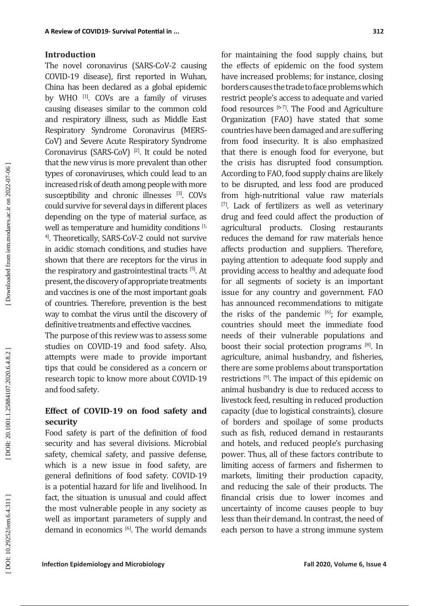#### **Introduction**

The novel coronavirus (SARS-CoV-2 causing COVID-19 disease), first reported in Wuhan, China has been declared as a global epidemic by WHO [1]. COVs are a family of viruses causing diseases similar to the common cold and respiratory illness, such as Middle East Respiratory Syndrome Coronavirus (MERS-CoV) and Severe Acute Respiratory Syndrome Coronavirus (SARS-CoV) [2]. It could be noted that the new virus is more prevalent than other types of coronaviruses, which could lead to an increased risk of death among people with more susceptibility and chronic illnesses [3]. COVs could survive for several days in different places depending on the type of material surface, as well as temperature and humidity conditions [1, 4]. Theoretically, SARS-CoV-2 could not survive in acidic stomach conditions, and studies have shown that there are receptors for the virus in the respiratory and gastrointestinal tracts [5]. At present, the discovery of appropriate treatments and vaccines is one of the most important goals of countries. Therefore, prevention is the best way to combat the virus until the discovery of definitive treatments and effective vaccines.

The purpose of this review was to assess some studies on COVID-19 and food safety. Also, attempts were made to provide important tips that could be considered as a concern or research topic to know more about COVID-19 and food safety.

### **Effect of COVID-19 on food safety and security**

Food safety is part of the definition of food security and has several divisions. Microbial safety, chemical safety, and passive defense, which is a new issue in food safety, are general definitions of food safety. COVID-19 is a potential hazard for life and livelihood. In fact, the situation is unusual and could affect the most vulnerable people in any society as well as important parameters of supply and demand in economics  $[6]$ . The world demands

for maintaining the food supply chains, but the effects of epidemic on the food system have increased problems; for instance, closing borders causes the trade to face problems which restrict people's access to adequate and varied food resources  $[6-7]$ . The Food and Agriculture Organization (FAO) have stated that some countries have been damaged and are suffering from food insecurity. It is also emphasized that there is enough food for everyone, but the crisis has disrupted food consumption. According to FAO, food supply chains are likely to be disrupted, and less food are produced from high-nutritional value raw materials [7]. Lack of fertilizers as well as veterinary drug and feed could affect the production of agricultural products. Closing restaurants reduces the demand for raw materials hence affects production and suppliers. Therefore, paying attention to adequate food supply and providing access to healthy and adequate food for all segments of society is an important issue for any country and government. FAO has announced recommendations to mitigate the risks of the pandemic  $[6]$ ; for example, countries should meet the immediate food needs of their vulnerable populations and boost their social protection programs [8]. In agriculture, animal husbandry, and fisheries, there are some problems about transportation restrictions [9]. The impact of this epidemic on animal husbandry is due to reduced access to livestock feed, resulting in reduced production capacity (due to logistical constraints), closure of borders and spoilage of some products such as fish, reduced demand in restaurants and hotels, and reduced people's purchasing power. Thus, all of these factors contribute to limiting access of farmers and fishermen to markets, limiting their production capacity, and reducing the sale of their products. The financial crisis due to lower incomes and uncertainty of income causes people to buy less than their demand. In contrast, the need of each person to have a strong immune system

DOR: 20.1001.1.25884107.2020.6.4.8.2

Downloaded from iem.modares.ac.ir on 2022-07-06]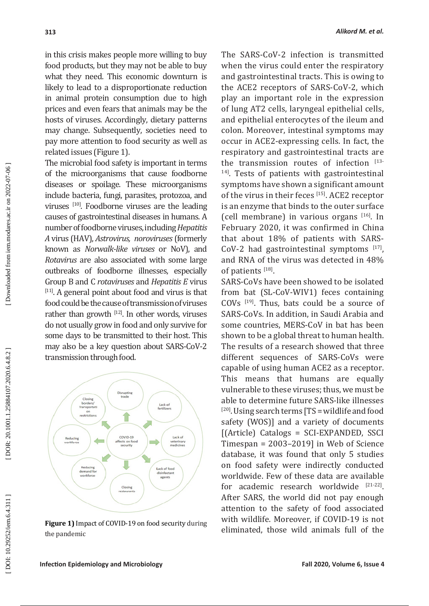in this crisis makes people more willing to buy food products, but they may not be able to buy what they need. This economic downturn is likely to lead to a disproportionate reduction in animal protein consumption due to high prices and even fears that animals may be the hosts of viruses. Accordingly, dietary patterns may change. Subsequently, societies need to pay more attention to food security as well as related issues (Figure 1).

The microbial food safety is important in terms of the microorganisms that cause foodborne diseases or spoilage. These microorganisms include bacteria, fungi, parasites, protozoa, and viruses [10]. Foodborne viruses are the leading causes of gastrointestinal diseases in humans. A number of foodborne viruses, including *Hepatitis* number of foodborne viruses, including *Hepatitis A* virus (HAV), *Astrovirus, noroviruses* (formerly known as *Norwalk-like viruses* or NoV), and *Rotavirus* are also associated with some large outbreaks of foodborne illnesses, especially Group B and C *rotaviruses* and *Hepatitis E* virus [11]. A general point about food and virus is that food could be the cause of transmission of viruses rather than growth [12]. In other words, viruses do not usually grow in food and only survive for some days to be transmitted to their host. This may also be a key question about SARS-CoV-2 transmission through food.



**Figure 1)** Impact of COVID-19 on food security during the pandemic

The SARS-CoV-2 infection is transmitted when the virus could enter the respiratory and gastrointestinal tracts. This is owing to the ACE2 receptors of SARS-CoV-2, which play an important role in the expression of lung AT2 cells, laryngeal epithelial cells, and epithelial enterocytes of the ileum and colon. Moreover, intestinal symptoms may occur in ACE2-expressing cells. In fact, the respiratory and gastrointestinal tracts are the transmission routes of infection  $[13-$ <sup>14]</sup>. Tests of patients with gastrointestinal symptoms have shown a significant amount of the virus in their feces [15]. ACE2 receptor is an enzyme that binds to the outer surface (cell membrane) in various organs [16]. In February 2020, it was confirmed in China that about 18% of patients with SARS-CoV-2 had gastrointestinal symptoms  $[17]$ , and RNA of the virus was detected in 48% of patients [18].

SARS-CoVs have been showed to be isolated from bat (SL-CoV-WIV1) feces containing COVs [19]. Thus, bats could be a source of SARS-CoVs. In addition, in Saudi Arabia and some countries, MERS-CoV in bat has been shown to be a global threat to human health. The results of a research showed that three different sequences of SARS-CoVs were capable of using human ACE2 as a receptor. This means that humans are equally vulnerable to these viruses; thus, we must be able to determine future SARS-like illnesses  $[20]$ . Using search terms  $[TS =$  wildlife and food safety (WOS)] and a variety of documents [(Article) Catalogs = SCI-EXPANDED, SSCI Timespan = 2003–2019] in Web of Science database, it was found that only 5 studies on food safety were indirectly conducted worldwide. Few of these data are available for academic research worldwide [21-22]. After SARS, the world did not pay enough attention to the safety of food associated with wildlife. Moreover, if COVID-19 is not eliminated, those wild animals full of the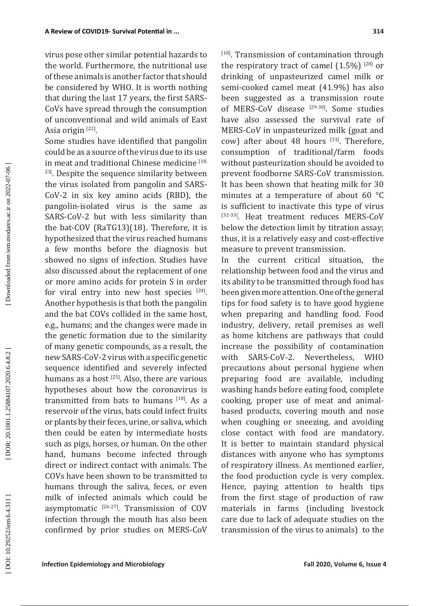virus pose other similar potential hazards to the world. Furthermore, the nutritional use of these animals is another factor that should be considered by WHO. It is worth nothing that during the last 17 years, the first SARS-CoVs have spread through the consumption of unconventional and wild animals of East Asia origin <sup>[22]</sup>.

Some studies have identified that pangolin could be as a source of the virus due to its use in meat and traditional Chinese medicine [18, <sup>23]</sup>. Despite the sequence similarity between the virus isolated from pangolin and SARS-CoV-2 in six key amino acids (RBD), the pangolin-isolated virus is the same as SARS-CoV-2 but with less similarity than the bat-COV (RaTG13)(18). Therefore, it is hypothesized that the virus reached humans a few months before the diagnosis but showed no signs of infection. Studies have also discussed about the replacement of one or more amino acids for protein S in order for viral entry into new host species [24]. Another hypothesis is that both the pangolin and the bat COVs collided in the same host, e.g., humans; and the changes were made in the genetic formation due to the similarity of many genetic compounds, as a result, the new SARS-CoV-2 virus with a specific genetic sequence identified and severely infected humans as a host [25]. Also, there are various hypotheses about how the coronavirus is transmitted from bats to humans  $[18]$ . As a reservoir of the virus, bats could infect fruits or plants by their feces, urine, or saliva, which then could be eaten by intermediate hosts such as pigs, horses, or human. On the other hand, humans become infected through direct or indirect contact with animals. The COVs have been shown to be transmitted to humans through the saliva, feces, or even milk of infected animals which could be asymptomatic  $[26-27]$ . Transmission of COV infection through the mouth has also been confirmed by prior studies on MERS-CoV [18]. Transmission of contamination through the respiratory tract of camel  $(1.5\%)$ <sup>[28]</sup> or drinking of unpasteurized camel milk or semi-cooked camel meat (41.9%) has also been suggested as a transmission route of MERS-CoV disease [29-30]. Some studies have also assessed the survival rate of MERS-CoV in unpasteurized milk (goat and cow) after about 48 hours  $[31]$ . Therefore, consumption of traditional/farm foods without pasteurization should be avoided to prevent foodborne SARS-CoV transmission. It has been shown that heating milk for 30 minutes at a temperature of about 60 °C is sufficient to inactivate this type of virus [32-33]. Heat treatment reduces MERS-CoV below the detection limit by titration assay; thus, it is a relatively easy and cost-effective measure to prevent transmission.

In the current critical situation, the relationship between food and the virus and its ability to be transmitted through food has been given more attention. One of the general tips for food safety is to have good hygiene when preparing and handling food. Food industry, delivery, retail premises as well as home kitchens are pathways that could increase the possibility of contamination with SARS-CoV-2. Nevertheless, WHO precautions about personal hygiene when preparing food are available, including washing hands before eating food, complete cooking, proper use of meat and animalbased products, covering mouth and nose when coughing or sneezing, and avoiding close contact with food are mandatory. It is better to maintain standard physical distances with anyone who has symptoms of respiratory illness. As mentioned earlier, the food production cycle is very complex. Hence, paying attention to health tips from the first stage of production of raw materials in farms (including livestock care due to lack of adequate studies on the transmission of the virus to animals) to the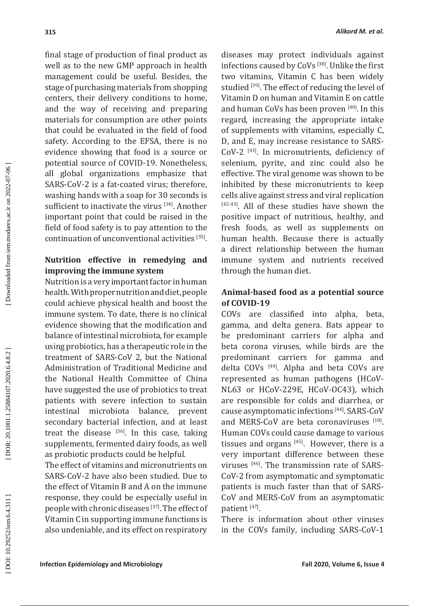final stage of production of final product as well as to the new GMP approach in health management could be useful. Besides, the stage of purchasing materials from shopping centers, their delivery conditions to home, and the way of receiving and preparing materials for consumption are other points that could be evaluated in the field of food safety. According to the EFSA, there is no evidence showing that food is a source or potential source of COVID-19. Nonetheless, all global organizations emphasize that SARS-CoV-2 is a fat-coated virus; therefore, washing hands with a soap for 30 seconds is sufficient to inactivate the virus [34]. Another important point that could be raised in the field of food safety is to pay attention to the continuation of unconventional activities [35].

### **Nutrition effective in remedying and improving the immune system**

Nutrition is a very important factor in human health. With proper nutrition and diet, people could achieve physical health and boost the immune system. To date, there is no clinical evidence showing that the modification and balance of intestinal microbiota, for example using probiotics, has a therapeutic role in the treatment of SARS-CoV 2, but the National Administration of Traditional Medicine and the National Health Committee of China have suggested the use of probiotics to treat patients with severe infection to sustain intestinal microbiota balance, prevent secondary bacterial infection, and at least treat the disease  $[36]$ . In this case, taking supplements, fermented dairy foods, as well as probiotic products could be helpful.

The effect of vitamins and micronutrients on SARS-CoV-2 have also been studied. Due to the effect of Vitamin B and A on the immune response, they could be especially useful in people with chronic diseases [37]. The effect of Vitamin C in supporting immune functions is also undeniable, and its effect on respiratory

diseases may protect individuals against infections caused by CoVs [38]. Unlike the first two vitamins, Vitamin C has been widely studied [39]. The effect of reducing the level of Vitamin D on human and Vitamin E on cattle and human CoVs has been proven [40]. In this regard, increasing the appropriate intake of supplements with vitamins, especially C, D, and E, may increase resistance to SARS-CoV-2 [41]. In micronutrients, deficiency of selenium, pyrite, and zinc could also be effective. The viral genome was shown to be inhibited by these micronutrients to keep cells alive against stress and viral replication [42-43]. All of these studies have shown the positive impact of nutritious, healthy, and fresh foods, as well as supplements on human health. Because there is actually a direct relationship between the human immune system and nutrients received through the human diet.

### **Animal-based food as a potential source of COVID-19**

COVs are classified into alpha, beta, gamma, and delta genera. Bats appear to be predominant carriers for alpha and beta corona viruses, while birds are the predominant carriers for gamma and delta COVs [44]. Alpha and beta COVs are represented as human pathogens (HCoV-NL63 or HCoV-229E, HCoV-OC43), which are responsible for colds and diarrhea, or cause asymptomatic infections [44]. SARS-CoV and MERS-CoV are beta coronaviruses [18]. Human COVs could cause damage to various tissues and organs  $[45]$ . However, there is a very important difference between these viruses [46]. The transmission rate of SARS-CoV-2 from asymptomatic and symptomatic patients is much faster than that of SARS-CoV and MERS-CoV from an asymptomatic patient [47].

There is information about other viruses in the COVs family, including SARS-CoV-1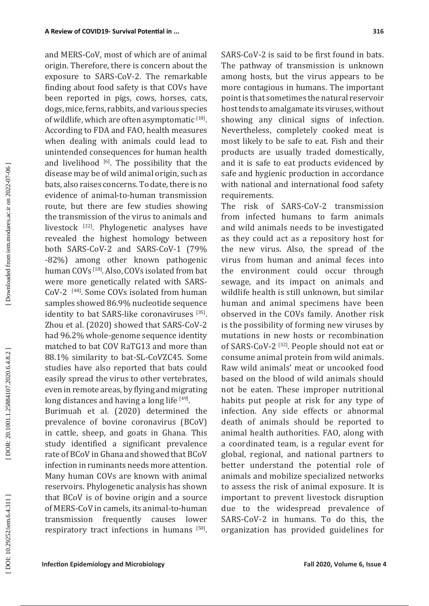and MERS-CoV, most of which are of animal origin. Therefore, there is concern about the exposure to SARS-CoV-2. The remarkable finding about food safety is that COVs have been reported in pigs, cows, horses, cats, dogs, mice, ferns, rabbits, and various species of wildlife, which are often asymptomatic  $^{[18]}$ . According to FDA and FAO, health measures when dealing with animals could lead to unintended consequences for human health and livelihood  $[6]$ . The possibility that the disease may be of wild animal origin, such as bats, also raises concerns. To date, there is no evidence of animal-to-human transmission route, but there are few studies showing the transmission of the virus to animals and livestock [22]. Phylogenetic analyses have revealed the highest homology between both SARS-CoV-2 and SARS-CoV-1 (79% -82%) among other known pathogenic human COVs [18]. Also, COVs isolated from bat were more genetically related with SARS-CoV-2 [48]. Some COVs isolated from human samples showed 86.9% nucleotide sequence identity to bat SARS-like coronaviruses [35]. Zhou et al. (2020) showed that SARS-CoV-2 had 96.2% whole-genome sequence identity matched to bat COV RaTG13 and more than 88.1% similarity to bat-SL-CoVZC45. Some studies have also reported that bats could easily spread the virus to other vertebrates, even in remote areas, by flying and migrating long distances and having a long life [49].

Burimuah et al. (2020) determined the prevalence of bovine coronavirus (BCoV) in cattle, sheep, and goats in Ghana. This study identified a significant prevalence rate of BCoV in Ghana and showed that BCoV infection in ruminants needs more attention. Many human COVs are known with animal reservoirs. Phylogenetic analysis has shown that BCoV is of bovine origin and a source of MERS-CoV in camels, its animal-to-human<br>transmission frequently causes lower transmission frequently causes lower respiratory tract infections in humans [50].

SARS-CoV-2 is said to be first found in bats. The pathway of transmission is unknown among hosts, but the virus appears to be more contagious in humans. The important point is that sometimes the natural reservoir host tends to amalgamate its viruses, without showing any clinical signs of infection. Nevertheless, completely cooked meat is most likely to be safe to eat. Fish and their products are usually traded domestically, and it is safe to eat products evidenced by safe and hygienic production in accordance with national and international food safety requirements.

The risk of SARS-CoV-2 transmission from infected humans to farm animals and wild animals needs to be investigated as they could act as a repository host for the new virus. Also, the spread of the virus from human and animal feces into the environment could occur through sewage, and its impact on animals and wildlife health is still unknown, but similar human and animal specimens have been observed in the COVs family. Another risk is the possibility of forming new viruses by mutations in new hosts or recombination of SARS-CoV-2 [32]. People should not eat or consume animal protein from wild animals. Raw wild animals' meat or uncooked food based on the blood of wild animals should not be eaten. These improper nutritional habits put people at risk for any type of infection. Any side effects or abnormal death of animals should be reported to animal health authorities. FAO, along with a coordinated team, is a regular event for global, regional, and national partners to better understand the potential role of animals and mobilize specialized networks to assess the risk of animal exposure. It is important to prevent livestock disruption due to the widespread prevalence of SARS-CoV-2 in humans. To do this, the organization has provided guidelines for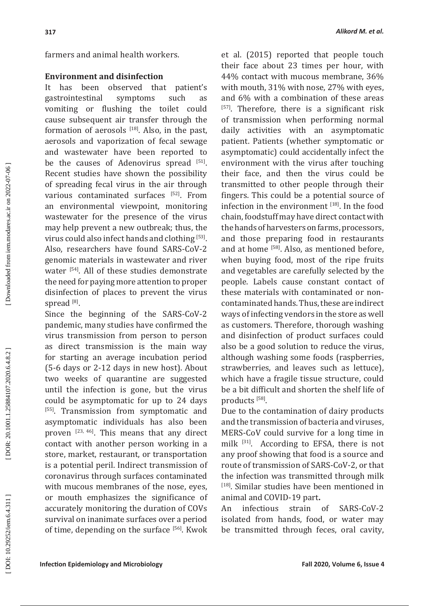farmers and animal health workers.

#### **Environment and disinfection**

It has been observed that patient's<br>gastrointestinal symptoms such as gastrointestinal symptoms such as vomiting or flushing the toilet could cause subsequent air transfer through the formation of aerosols  $[18]$ . Also, in the past, aerosols and vaporization of fecal sewage and wastewater have been reported to be the causes of Adenovirus spread [51]. Recent studies have shown the possibility of spreading fecal virus in the air through various contaminated surfaces [52]. From an environmental viewpoint, monitoring wastewater for the presence of the virus may help prevent a new outbreak; thus, the virus could also infect hands and clothing [53]. Also, researchers have found SARS-CoV-2 genomic materials in wastewater and river water [54]. All of these studies demonstrate the need for paying more attention to proper disinfection of places to prevent the virus spread <sup>[8]</sup>.

Since the beginning of the SARS-CoV-2 pandemic, many studies have confirmed the virus transmission from person to person as direct transmission is the main way for starting an average incubation period (5-6 days or 2-12 days in new host). About two weeks of quarantine are suggested until the infection is gone, but the virus could be asymptomatic for up to 24 days [55]. Transmission from symptomatic and asymptomatic individuals has also been proven [23, 46]. This means that any direct contact with another person working in a store, market, restaurant, or transportation is a potential peril. Indirect transmission of coronavirus through surfaces contaminated with mucous membranes of the nose, eyes, or mouth emphasizes the significance of accurately monitoring the duration of COVs survival on inanimate surfaces over a period of time, depending on the surface  $[56]$ . Kwok

et al. (2015) reported that people touch their face about 23 times per hour, with 44% contact with mucous membrane, 36% with mouth, 31% with nose, 27% with eyes, and 6% with a combination of these areas  $[57]$ . Therefore, there is a significant risk of transmission when performing normal daily activities with an asymptomatic patient. Patients (whether symptomatic or asymptomatic) could accidentally infect the environment with the virus after touching their face, and then the virus could be transmitted to other people through their fingers. This could be a potential source of infection in the environment [18]. In the food chain, foodstuff may have direct contact with the hands of harvesters on farms, processors, and those preparing food in restaurants and at home [58]. Also, as mentioned before, when buying food, most of the ripe fruits and vegetables are carefully selected by the people. Labels cause constant contact of these materials with contaminated or noncontaminated hands. Thus, these are indirect ways of infecting vendors in the store as well as customers. Therefore, thorough washing and disinfection of product surfaces could also be a good solution to reduce the virus, although washing some foods (raspberries, strawberries, and leaves such as lettuce), which have a fragile tissue structure, could be a bit difficult and shorten the shelf life of products<sup>[58]</sup>.

Due to the contamination of dairy products and the transmission of bacteria and viruses, MERS-CoV could survive for a long time in milk [31]. According to EFSA, there is not any proof showing that food is a source and route of transmission of SARS-CoV-2, or that the infection was transmitted through milk [18]. Similar studies have been mentioned in animal and COVID-19 part**.** 

An infectious strain of SARS-CoV-2 isolated from hands, food, or water may be transmitted through feces, oral cavity,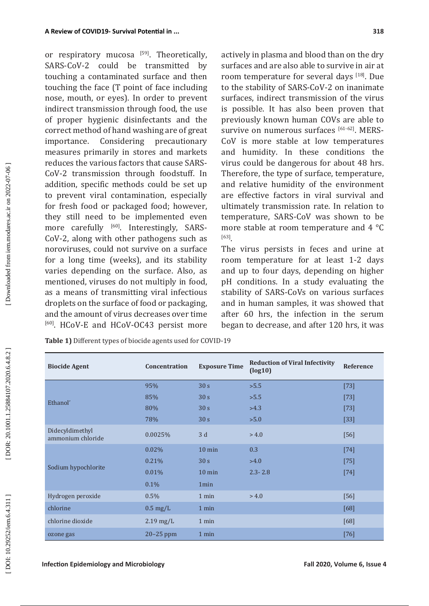or respiratory mucosa  $[59]$ . Theoretically, SARS-CoV-2 could be transmitted by touching a contaminated surface and then touching the face (T point of face including nose, mouth, or eyes). In order to prevent indirect transmission through food, the use of proper hygienic disinfectants and the correct method of hand washing are of great importance. Considering precautionary measures primarily in stores and markets reduces the various factors that cause SARS-CoV-2 transmission through foodstuff. In addition, specific methods could be set up to prevent viral contamination, especially for fresh food or packaged food; however, they still need to be implemented even more carefully [60]. Interestingly, SARS-CoV-2, along with other pathogens such as noroviruses, could not survive on a surface for a long time (weeks), and its stability varies depending on the surface. Also, as mentioned, viruses do not multiply in food, as a means of transmitting viral infectious droplets on the surface of food or packaging, and the amount of virus decreases over time [60]. HCoV-E and HCoV-OC43 persist more

actively in plasma and blood than on the dry surfaces and are also able to survive in air at room temperature for several days [18]. Due to the stability of SARS-CoV-2 on inanimate surfaces, indirect transmission of the virus is possible. It has also been proven that previously known human COVs are able to survive on numerous surfaces [61-62]. MERS-CoV is more stable at low temperatures and humidity. In these conditions the virus could be dangerous for about 48 hrs. Therefore, the type of surface, temperature, and relative humidity of the environment are effective factors in viral survival and ultimately transmission rate. In relation to temperature, SARS-CoV was shown to be more stable at room temperature and 4 °C [63].

The virus persists in feces and urine at room temperature for at least 1-2 days and up to four days, depending on higher pH conditions. In a study evaluating the stability of SARS-CoVs on various surfaces and in human samples, it was showed that after 60 hrs, the infection in the serum began to decrease, and after 120 hrs, it was

| <b>Biocide Agent</b>                 | <b>Concentration</b> | <b>Exposure Time</b> | <b>Reduction of Viral Infectivity</b><br>(log10) | Reference |
|--------------------------------------|----------------------|----------------------|--------------------------------------------------|-----------|
| Ethanol <sup>*</sup>                 | 95%                  | 30 <sub>s</sub>      | >5.5                                             | $[73]$    |
|                                      | 85%                  | 30 <sub>s</sub>      | >5.5                                             | $[73]$    |
|                                      | 80%                  | 30 <sub>s</sub>      | >4.3                                             | $[73]$    |
|                                      | 78%                  | 30 <sub>s</sub>      | >5.0                                             | $[33]$    |
| Didecyldimethyl<br>ammonium chloride | 0.0025%              | 3d                   | > 4.0                                            | [56]      |
| Sodium hypochlorite                  | 0.02%                | $10 \text{ min}$     | 0.3                                              | [74]      |
|                                      | 0.21%                | 30 <sub>s</sub>      | >4.0                                             | $[75]$    |
|                                      | 0.01%                | $10 \text{ min}$     | $2.3 - 2.8$                                      | $[74]$    |
|                                      | $0.1\%$              | 1 <sub>min</sub>     |                                                  |           |
| Hydrogen peroxide                    | 0.5%                 | 1 min                | > 4.0                                            | $[56]$    |
| chlorine                             | $0.5 \text{ mg/L}$   | 1 min                |                                                  | [68]      |
| chlorine dioxide                     | $2.19$ mg/L          | 1 min                |                                                  | [68]      |
| ozone gas                            | $20-25$ ppm          | 1 min                |                                                  | $[76]$    |

**Table 1)** Different types of biocide agents used for COVID-19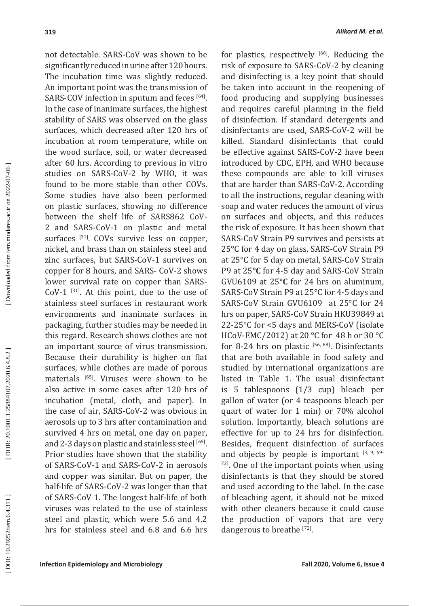not detectable. SARS-CoV was shown to be significantly reduced in urine after 120 hours. The incubation time was slightly reduced. An important point was the transmission of SARS-COV infection in sputum and feces [64]. In the case of inanimate surfaces, the highest stability of SARS was observed on the glass surfaces, which decreased after 120 hrs of incubation at room temperature, while on the wood surface, soil, or water decreased after 60 hrs. According to previous in vitro studies on SARS-CoV-2 by WHO, it was found to be more stable than other COVs. Some studies have also been performed on plastic surfaces, showing no difference between the shelf life of SARS862 CoV-2 and SARS-CoV-1 on plastic and metal surfaces [31]. COVs survive less on copper, nickel, and brass than on stainless steel and zinc surfaces, but SARS-CoV-1 survives on copper for 8 hours, and SARS- CoV-2 shows lower survival rate on copper than SARS- $CoV-1$  [31]. At this point, due to the use of stainless steel surfaces in restaurant work environments and inanimate surfaces in packaging, further studies may be needed in this regard. Research shows clothes are not an important source of virus transmission. Because their durability is higher on flat surfaces, while clothes are made of porous materials [65]. Viruses were shown to be also active in some cases after 120 hrs of incubation (metal, cloth, and paper). In the case of air, SARS-CoV-2 was obvious in aerosols up to 3 hrs after contamination and survived 4 hrs on metal, one day on paper, and 2-3 days on plastic and stainless steel [66]. Prior studies have shown that the stability of SARS-CoV-1 and SARS-CoV-2 in aerosols and copper was similar. But on paper, the half-life of SARS-CoV-2 was longer than that of SARS-CoV 1. The longest half-life of both viruses was related to the use of stainless steel and plastic, which were 5.6 and 4.2 hrs for stainless steel and 6.8 and 6.6 hrs

for plastics, respectively  $[66]$ . Reducing the risk of exposure to SARS-CoV-2 by cleaning and disinfecting is a key point that should be taken into account in the reopening of food producing and supplying businesses and requires careful planning in the field of disinfection. If standard detergents and disinfectants are used, SARS-CoV-2 will be killed. Standard disinfectants that could be effective against SARS-CoV-2 have been introduced by CDC, EPH, and WHO because these compounds are able to kill viruses that are harder than SARS-CoV-2. According to all the instructions, regular cleaning with soap and water reduces the amount of virus on surfaces and objects, and this reduces the risk of exposure. It has been shown that SARS-CoV Strain P9 survives and persists at 25°C for 4 day on glass, SARS-CoV Strain P9 at 25°C for 5 day on metal, SARS-CoV Strain P9 at 25**°C** for 4-5 day and SARS-CoV Strain GVU6109 at 25**°C** for 24 hrs on aluminum, SARS-CoV Strain P9 at 25°C for 4-5 days and SARS-CoV Strain GVU6109 at 25°C for 24 hrs on paper, SARS-CoV Strain HKU39849 at 22-25°C for <5 days and MERS-CoV (isolate HCoV-EMC/2012) at 20 °C for 48 h or 30 °C for 8-24 hrs on plastic  $[56, 68]$ . Disinfectants that are both available in food safety and studied by international organizations are listed in Table 1. The usual disinfectant is 5 tablespoons (1/3 cup) bleach per gallon of water (or 4 teaspoons bleach per quart of water for 1 min) or 70% alcohol solution. Importantly, bleach solutions are effective for up to 24 hrs for disinfection. Besides, frequent disinfection of surfaces and objects by people is important  $[3, 9, 69]$  $72$ ]. One of the important points when using disinfectants is that they should be stored and used according to the label. In the case of bleaching agent, it should not be mixed with other cleaners because it could cause the production of vapors that are very dangerous to breathe  $[72]$ .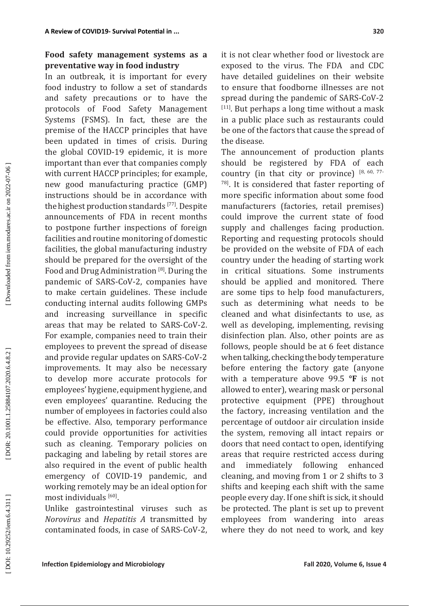# **Food safety management systems as a preventative way in food industry**

In an outbreak, it is important for every food industry to follow a set of standards and safety precautions or to have the protocols of Food Safety Management Systems (FSMS). In fact, these are the premise of the HACCP principles that have been updated in times of crisis. During the global COVID-19 epidemic, it is more important than ever that companies comply with current HACCP principles; for example, new good manufacturing practice (GMP) instructions should be in accordance with the highest production standards [77]. Despite announcements of FDA in recent months to postpone further inspections of foreign facilities and routine monitoring of domestic facilities, the global manufacturing industry should be prepared for the oversight of the Food and Drug Administration<sup>[8]</sup>. During the pandemic of SARS-CoV-2, companies have to make certain guidelines. These include conducting internal audits following GMPs and increasing surveillance in specific areas that may be related to SARS-CoV-2. For example, companies need to train their employees to prevent the spread of disease and provide regular updates on SARS-CoV-2 improvements. It may also be necessary to develop more accurate protocols for employees' hygiene, equipment hygiene, and even employees' quarantine. Reducing the number of employees in factories could also be effective. Also, temporary performance could provide opportunities for activities such as cleaning. Temporary policies on packaging and labeling by retail stores are also required in the event of public health emergency of COVID-19 pandemic, and working remotely may be an ideal option for most individuals <sup>[60]</sup>.

Unlike gastrointestinal viruses such as *Norovirus* and *Hepatitis A* transmitted by contaminated foods, in case of SARS-CoV-2,

it is not clear whether food or livestock are exposed to the virus. The FDA and CDC have detailed guidelines on their website to ensure that foodborne illnesses are not spread during the pandemic of SARS-CoV-2  $[11]$ . But perhaps a long time without a mask in a public place such as restaurants could be one of the factors that cause the spread of the disease.

The announcement of production plants should be registered by FDA of each country (in that city or province)  $[8, 60, 77]$ 78]. It is considered that faster reporting of more specific information about some food manufacturers (factories, retail premises) could improve the current state of food supply and challenges facing production. Reporting and requesting protocols should be provided on the website of FDA of each country under the heading of starting work in critical situations. Some instruments should be applied and monitored. There are some tips to help food manufacturers, such as determining what needs to be cleaned and what disinfectants to use, as well as developing, implementing, revising disinfection plan. Also, other points are as follows, people should be at 6 feet distance when talking, checking the body temperature before entering the factory gate (anyone with a temperature above 99.5 **°F** is not allowed to enter), wearing mask or personal protective equipment (PPE) throughout the factory, increasing ventilation and the percentage of outdoor air circulation inside the system, removing all intact repairs or doors that need contact to open, identifying areas that require restricted access during and immediately following enhanced cleaning, and moving from 1 or 2 shifts to 3 shifts and keeping each shift with the same people every day. If one shift is sick, it should be protected. The plant is set up to prevent employees from wandering into areas where they do not need to work, and key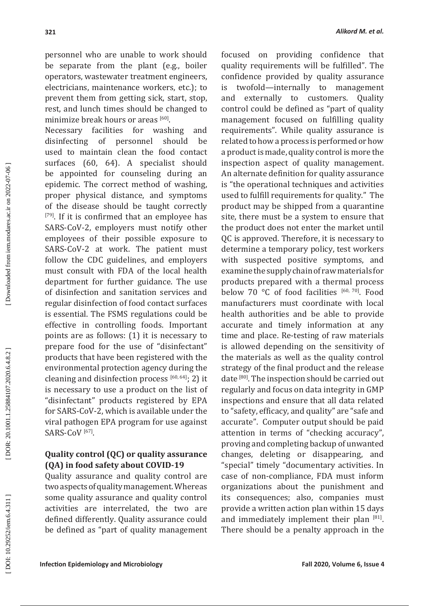personnel who are unable to work should be separate from the plant (e.g., boiler operators, wastewater treatment engineers, electricians, maintenance workers, etc.); to prevent them from getting sick, start, stop, rest, and lunch times should be changed to minimize break hours or areas  $^{\text{[60]}}$ .

Necessary facilities for washing and<br>disinfecting of personnel should be disinfecting of personnel should be used to maintain clean the food contact surfaces (60, 64). A specialist should be appointed for counseling during an epidemic. The correct method of washing, proper physical distance, and symptoms of the disease should be taught correctly [79]. If it is confirmed that an employee has SARS-CoV-2, employers must notify other employees of their possible exposure to SARS-CoV-2 at work. The patient must follow the CDC guidelines, and employers must consult with FDA of the local health department for further guidance. The use of disinfection and sanitation services and regular disinfection of food contact surfaces is essential. The FSMS regulations could be effective in controlling foods. Important points are as follows: (1) it is necessary to prepare food for the use of "disinfectant" products that have been registered with the environmental protection agency during the cleaning and disinfection process [60, 64]; 2) it is necessary to use a product on the list of "disinfectant" products registered by EPA for SARS-CoV-2, which is available under the viral pathogen EPA program for use against  $SARS-CoV<sup>[67]</sup>.$ 

### **Quality control (QC) or quality assurance (QA) in food safety about COVID-19**

Quality assurance and quality control are two aspects of quality management. Whereas some quality assurance and quality control activities are interrelated, the two are defined differently. Quality assurance could be defined as "part of quality management

focused on providing confidence that quality requirements will be fulfilled". The confidence provided by quality assurance is twofold—internally to management<br>and externally to customers. Ouality externally to customers. Quality control could be defined as "part of quality management focused on fulfilling quality requirements". While quality assurance is related to how a process is performed or how a product is made, quality control is more the inspection aspect of quality management. An alternate definition for quality assurance is "the operational techniques and activities used to fulfill requirements for quality." The product may be shipped from a quarantine site, there must be a system to ensure that the product does not enter the market until QC is approved. Therefore, it is necessary to determine a temporary policy, test workers with suspected positive symptoms, and examine the supply chain of raw materials for products prepared with a thermal process below 70 °C of food facilities [60, 70]. Food manufacturers must coordinate with local health authorities and be able to provide accurate and timely information at any time and place. Re-testing of raw materials is allowed depending on the sensitivity of the materials as well as the quality control strategy of the final product and the release date [80]. The inspection should be carried out regularly and focus on data integrity in GMP inspections and ensure that all data related to "safety, efficacy, and quality" are "safe and accurate". Computer output should be paid attention in terms of "checking accuracy", proving and completing backup of unwanted changes, deleting or disappearing, and "special" timely "documentary activities. In case of non-compliance, FDA must inform organizations about the punishment and its consequences; also, companies must provide a written action plan within 15 days and immediately implement their plan [81]. There should be a penalty approach in the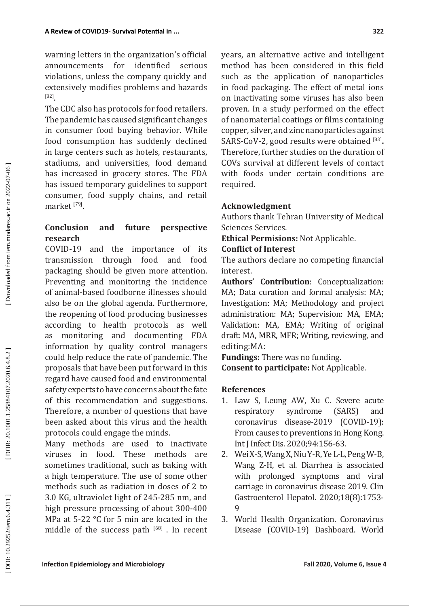warning letters in the organization's official announcements for identified serious violations, unless the company quickly and extensively modifies problems and hazards [82].

The CDC also has protocols for food retailers. The pandemic has caused significant changes in consumer food buying behavior. While food consumption has suddenly declined in large centers such as hotels, restaurants, stadiums, and universities, food demand has increased in grocery stores. The FDA has issued temporary guidelines to support consumer, food supply chains, and retail market  $^{[79]}$ .

# **Conclusion and future perspective research**

COVID-19 and the importance of its<br>transmission through food and food transmission through food and food packaging should be given more attention. Preventing and monitoring the incidence of animal-based foodborne illnesses should also be on the global agenda. Furthermore, the reopening of food producing businesses according to health protocols as well as monitoring and documenting FDA information by quality control managers could help reduce the rate of pandemic. The proposals that have been put forward in this regard have caused food and environmental safety experts to have concerns about the fate of this recommendation and suggestions. Therefore, a number of questions that have been asked about this virus and the health protocols could engage the minds.

Many methods are used to inactivate viruses in food. These methods are sometimes traditional, such as baking with a high temperature. The use of some other methods such as radiation in doses of 2 to 3.0 KG, ultraviolet light of 245-285 nm, and high pressure processing of about 300-400 MPa at 5-22 °C for 5 min are located in the middle of the success path [68]. In recent years, an alternative active and intelligent method has been considered in this field such as the application of nanoparticles in food packaging. The effect of metal ions on inactivating some viruses has also been proven. In a study performed on the effect of nanomaterial coatings or films containing copper, silver, and zinc nanoparticles against SARS-CoV-2, good results were obtained <sup>[83]</sup>. Therefore, further studies on the duration of COVs survival at different levels of contact with foods under certain conditions are required.

### **Acknowledgment**

Authors thank Tehran University of Medical Sciences Services.

**Ethical Permisions:** Not Applicable.

### **Conflict of Interest**

The authors declare no competing financial interest.

**Authors' Contribution**: Conceptualization: MA; Data curation and formal analysis: MA; Investigation: MA; Methodology and project administration: MA; Supervision: MA, EMA; Validation: MA, EMA; Writing of original draft: MA, MRR, MFR; Writing, reviewing, and editing:MA:

**Fundings:** There was no funding. **Consent to participate:** Not Applicable.

### **References**

- 1. Law S, Leung AW, Xu C. Severe acute respiratory syndrome (SARS) and coronavirus disease-2019 (COVID-19): From causes to preventions in Hong Kong. Int J Infect Dis. 2020;94:156-63.
- 2. Wei X-S, Wang X, Niu Y-R, Ye L-L, Peng W-B, Wang Z-H, et al. Diarrhea is associated with prolonged symptoms and viral carriage in coronavirus disease 2019. Clin Gastroenterol Hepatol. 2020;18(8):1753- 9
- 3. World Health Organization. Coronavirus Disease (COVID-19) Dashboard. World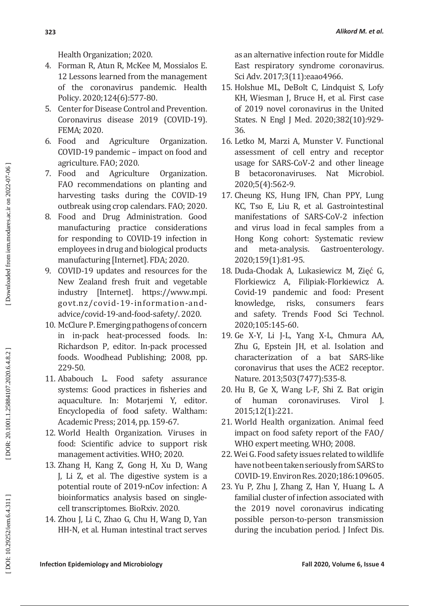Health Organization; 2020.

- 4. Forman R, Atun R, McKee M, Mossialos E. 12 Lessons learned from the management of the coronavirus pandemic. Health Policy. 2020;124(6):577-80.
- 5. Center for Disease Control and Prevention. Coronavirus disease 2019 (COVID-19). FEMA; 2020.
- 6. Food and Agriculture Organization. COVID-19 pandemic – impact on food and agriculture. FAO; 2020.
- 7. Food and Agriculture Organization. FAO recommendations on planting and harvesting tasks during the COVID-19 outbreak using crop calendars. FAO; 2020.
- 8. Food and Drug Administration. Good manufacturing practice considerations for responding to COVID-19 infection in employees in drug and biological products manufacturing [Internet]. FDA; 2020.
- 9. COVID-19 updates and resources for the New Zealand fresh fruit and vegetable industry [Internet]. https://www.mpi. govt.nz/covid-19-information-andadvice/covid-19-and-food-safety/. 2020.
- 10. McClure P. Emerging pathogens of concern in in-pack heat-processed foods. In: Richardson P, editor. In-pack processed foods. Woodhead Publishing; 2008, pp. 229-50.
- 11. Ababouch L. Food safety assurance systems: Good practices in fisheries and aquaculture. In: Motarjemi Y, editor. Encyclopedia of food safety. Waltham: Academic Press; 2014, pp. 159-67.
- 12. World Health Organization. Viruses in food: Scientific advice to support risk management activities. WHO; 2020.
- 13. Zhang H, Kang Z, Gong H, Xu D, Wang J, Li Z, et al. The digestive system is a potential route of 2019-nCov infection: A bioinformatics analysis based on singlecell transcriptomes. BioRxiv. 2020.
- 14. Zhou J, Li C, Zhao G, Chu H, Wang D, Yan HH-N, et al. Human intestinal tract serves

as an alternative infection route for Middle East respiratory syndrome coronavirus. Sci Adv. 2017;3(11):eaao4966.

- 15. Holshue ML, DeBolt C, Lindquist S, Lofy KH, Wiesman J, Bruce H, et al. First case of 2019 novel coronavirus in the United States. N Engl J Med. 2020;382(10):929- 36.
- 16. Letko M, Marzi A, Munster V. Functional assessment of cell entry and receptor usage for SARS-CoV-2 and other lineage B betacoronaviruses. Nat Microbiol. 2020;5(4):562-9.
- 17. Cheung KS, Hung IFN, Chan PPY, Lung KC, Tso E, Liu R, et al. Gastrointestinal manifestations of SARS-CoV-2 infection and virus load in fecal samples from a Hong Kong cohort: Systematic review<br>and meta-analysis. Gastroenterology. and meta-analysis. Gastroenterology. 2020;159(1):81-95.
- 18. Duda-Chodak A, Lukasiewicz M, Zięć G, Florkiewicz A, Filipiak-Florkiewicz A. Covid-19 pandemic and food: Present<br>knowledge, risks, consumers fears knowledge, risks, consumers fears and safety. Trends Food Sci Technol. 2020;105:145-60.
- 19. Ge X-Y, Li J-L, Yang X-L, Chmura AA, Zhu G, Epstein JH, et al. Isolation and characterization of a bat SARS-like coronavirus that uses the ACE2 receptor. Nature. 2013;503(7477):535-8.
- 20. Hu B, Ge X, Wang L-F, Shi Z. Bat origin of human coronaviruses. Virol J. 2015;12(1):221.
- 21. World Health organization. Animal feed impact on food safety report of the FAO/ WHO expert meeting. WHO; 2008.
- 22. Wei G. Food safety issues related to wildlife have not been taken seriously from SARS to COVID-19. Environ Res. 2020;186:109605.
- 23. Yu P, Zhu J, Zhang Z, Han Y, Huang L. A familial cluster of infection associated with the 2019 novel coronavirus indicating possible person-to-person transmission during the incubation period. J Infect Dis.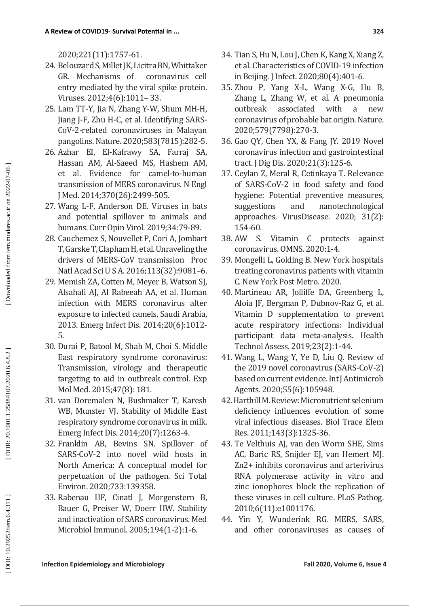2020;221(11):1757-61.

- 24. Belouzard S, Millet JK, Licitra BN, Whittaker<br>GR. Mechanisms of coronavirus cell GR. Mechanisms of entry mediated by the viral spike protein. Viruses. 2012;4(6):1011– 33.
- 25. Lam TT-Y, Jia N, Zhang Y-W, Shum MH-H, Jiang J-F, Zhu H-C, et al. Identifying SARS-CoV-2-related coronaviruses in Malayan pangolins. Nature. 2020;583(7815):282-5.
- 26. Azhar EI, El-Kafrawy SA, Farraj SA, Hassan AM, Al-Saeed MS, Hashem AM, et al. Evidence for camel-to-human transmission of MERS coronavirus. N Engl J Med. 2014;370(26):2499-505.
- 27. Wang L-F, Anderson DE. Viruses in bats and potential spillover to animals and humans. Curr Opin Virol. 2019;34:79-89.
- 28. Cauchemez S, Nouvellet P, Cori A, Jombart T, Garske T, Clapham H, et al. Unraveling the drivers of MERS-CoV transmission Proc Natl Acad Sci U S A. 2016;113(32):9081–6.
- 29. Memish ZA, Cotten M, Meyer B, Watson SJ, Alsahafi AJ, Al Rabeeah AA, et al. Human infection with MERS coronavirus after exposure to infected camels, Saudi Arabia, 2013. Emerg Infect Dis. 2014;20(6):1012- 5.
- 30. Durai P, Batool M, Shah M, Choi S. Middle East respiratory syndrome coronavirus: Transmission, virology and therapeutic targeting to aid in outbreak control. Exp Mol Med. 2015;47(8): 181.
- 31. van Doremalen N, Bushmaker T, Karesh WB, Munster VJ. Stability of Middle East respiratory syndrome coronavirus in milk. Emerg Infect Dis. 2014;20(7):1263-4.
- 32. Franklin AB, Bevins SN. Spillover of SARS-CoV-2 into novel wild hosts in North America: A conceptual model for perpetuation of the pathogen. Sci Total Environ. 2020;733:139358.
- 33. Rabenau HF, Cinatl J, Morgenstern B, Bauer G, Preiser W, Doerr HW. Stability and inactivation of SARS coronavirus. Med Microbiol Immunol. 2005;194(1-2):1-6.
- 34. Tian S, Hu N, Lou J, Chen K, Kang X, Xiang Z, et al. Characteristics of COVID-19 infection in Beijing. J Infect. 2020;80(4):401-6.
- 35. Zhou P, Yang X-L, Wang X-G, Hu B, Zhang L, Zhang W, et al. A pneumonia<br>outbreak associated with a new outbreak associated with a new coronavirus of probable bat origin. Nature. 2020;579(7798):270-3.
- 36. Gao QY, Chen YX, & Fang JY. 2019 Novel coronavirus infection and gastrointestinal tract. J Dig Dis. 2020;21(3):125-6.
- 37. Ceylan Z, Meral R, Cetinkaya T. Relevance of SARS-CoV-2 in food safety and food hygiene: Potential preventive measures, suggestions and nanotechnological approaches. VirusDisease. 2020; 31(2): 154-60.
- 38. AW S. Vitamin C protects against coronavirus. OMNS. 2020:1-4.
- 39. Mongelli L, Golding B. New York hospitals treating coronavirus patients with vitamin C. New York Post Metro. 2020.
- 40. Martineau AR, Jolliffe DA, Greenberg L, Aloia JF, Bergman P, Dubnov-Raz G, et al. Vitamin D supplementation to prevent acute respiratory infections: Individual participant data meta-analysis. Health Technol Assess. 2019;23(2):1-44.
- 41. Wang L, Wang Y, Ye D, Liu Q. Review of the 2019 novel coronavirus (SARS-CoV-2) based on current evidence. Int J Antimicrob Agents. 2020;55(6):105948.
- 42. Harthill M. Review: Micronutrient selenium deficiency influences evolution of some viral infectious diseases. Biol Trace Elem Res. 2011;143(3):1325-36.
- 43. Te Velthuis AJ, van den Worm SHE, Sims AC, Baric RS, Snijder EJ, van Hemert MJ. Zn2+ inhibits coronavirus and arterivirus RNA polymerase activity in vitro and zinc ionophores block the replication of these viruses in cell culture. PLoS Pathog. 2010;6(11):e1001176.
- 44. Yin Y, Wunderink RG. MERS, SARS, and other coronaviruses as causes of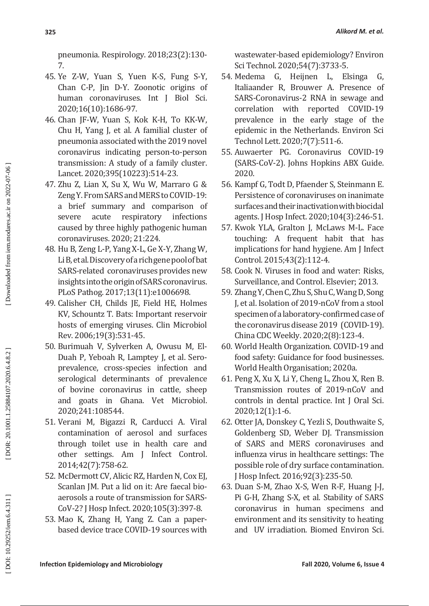pneumonia. Respirology. 2018;23(2):130- 7.

- 45. Ye Z-W, Yuan S, Yuen K-S, Fung S-Y, Chan C-P, Jin D-Y. Zoonotic origins of human coronaviruses. Int J Biol Sci. 2020;16(10):1686-97.
- 46. Chan JF-W, Yuan S, Kok K-H, To KK-W, Chu H, Yang J, et al. A familial cluster of pneumonia associated with the 2019 novel coronavirus indicating person-to-person transmission: A study of a family cluster. Lancet. 2020;395(10223):514-23.
- 47. Zhu Z, Lian X, Su X, Wu W, Marraro G & Zeng Y. From SARS and MERS to COVID-19: a brief summary and comparison of<br>severe acute respiratory infections severe acute respiratory caused by three highly pathogenic human coronaviruses. 2020; 21:224.
- 48. Hu B, Zeng L-P, Yang X-L, Ge X-Y, Zhang W, Li B, et al. Discovery of a rich gene pool of bat SARS-related coronaviruses provides new insights into the origin of SARS coronavirus. PLoS Pathog. 2017;13(11):e1006698.
- 49. Calisher CH, Childs JE, Field HE, Holmes KV, Schountz T. Bats: Important reservoir hosts of emerging viruses. Clin Microbiol Rev. 2006;19(3):531-45.
- 50. Burimuah V, Sylverken A, Owusu M, El-Duah P, Yeboah R, Lamptey J, et al. Seroprevalence, cross-species infection and serological determinants of prevalence of bovine coronavirus in cattle, sheep and goats in Ghana. Vet Microbiol. 2020;241:108544.
- 51. Verani M, Bigazzi R, Carducci A. Viral contamination of aerosol and surfaces through toilet use in health care and other settings. Am J Infect Control. 2014;42(7):758-62.
- 52. McDermott CV, Alicic RZ, Harden N, Cox EJ, Scanlan JM. Put a lid on it: Are faecal bioaerosols a route of transmission for SARS-CoV-2? J Hosp Infect. 2020;105(3):397-8.
- 53. Mao K, Zhang H, Yang Z. Can a paperbased device trace COVID-19 sources with

wastewater-based epidemiology? Environ Sci Technol. 2020;54(7):3733-5.

- 54. Medema G, Heijnen L, Elsinga G, Italiaander R, Brouwer A. Presence of SARS-Coronavirus-2 RNA in sewage and correlation with reported COVID-19 prevalence in the early stage of the epidemic in the Netherlands. Environ Sci Technol Lett. 2020;7(7):511-6.
- 55. Auwaerter PG. Coronavirus COVID-19 (SARS-CoV-2). Johns Hopkins ABX Guide. 2020.
- 56. Kampf G, Todt D, Pfaender S, Steinmann E. Persistence of coronaviruses on inanimate surfaces and their inactivation with biocidal agents. J Hosp Infect. 2020;104(3):246-51.
- 57. Kwok YLA, Gralton J, McLaws M-L. Face touching: A frequent habit that has implications for hand hygiene. Am J Infect Control. 2015;43(2):112-4.
- 58. Cook N. Viruses in food and water: Risks, Surveillance, and Control. Elsevier; 2013.
- 59. Zhang Y, Chen C, Zhu S, Shu C, Wang D, Song J, et al. Isolation of 2019-nCoV from a stool specimen of a laboratory-confirmed case of the coronavirus disease 2019 (COVID-19). China CDC Weekly. 2020;2(8):123-4.
- 60. World Health Organization. COVID-19 and food safety: Guidance for food businesses. World Health Organisation; 2020a.
- 61. Peng X, Xu X, Li Y, Cheng L, Zhou X, Ren B. Transmission routes of 2019-nCoV and controls in dental practice. Int J Oral Sci. 2020;12(1):1-6.
- 62. Otter JA, Donskey C, Yezli S, Douthwaite S, Goldenberg SD, Weber DJ. Transmission of SARS and MERS coronaviruses and influenza virus in healthcare settings: The possible role of dry surface contamination. J Hosp Infect. 2016;92(3):235-50.
- 63. Duan S-M, Zhao X-S, Wen R-F, Huang J-J, Pi G-H, Zhang S-X, et al. Stability of SARS coronavirus in human specimens and environment and its sensitivity to heating and UV irradiation. Biomed Environ Sci.